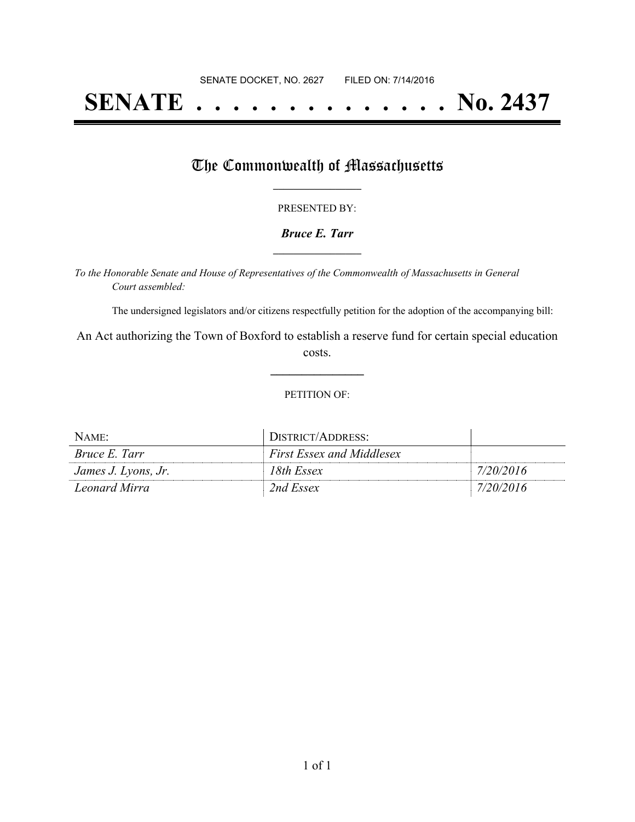# **SENATE . . . . . . . . . . . . . . No. 2437**

### The Commonwealth of Massachusetts

#### PRESENTED BY:

#### *Bruce E. Tarr* **\_\_\_\_\_\_\_\_\_\_\_\_\_\_\_\_\_**

*To the Honorable Senate and House of Representatives of the Commonwealth of Massachusetts in General Court assembled:*

The undersigned legislators and/or citizens respectfully petition for the adoption of the accompanying bill:

An Act authorizing the Town of Boxford to establish a reserve fund for certain special education costs.

**\_\_\_\_\_\_\_\_\_\_\_\_\_\_\_**

#### PETITION OF:

| NAME                 | DISTRICT/ADDRESS:                |           |
|----------------------|----------------------------------|-----------|
| <i>Bruce E. Tarr</i> | <b>First Essex and Middlesex</b> |           |
| James J. Lyons, Jr.  | 18th Essex                       | 7/20/2016 |
| Leonard Mirra        | 2nd Essex                        | 7/20/2016 |